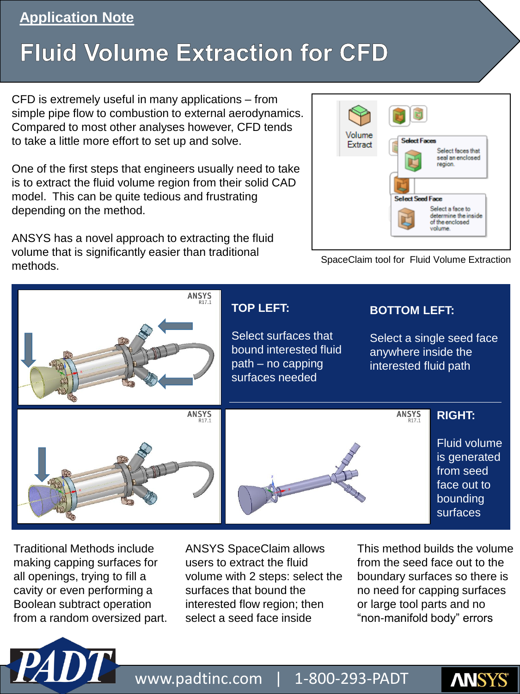## **Application Note**

## **Fluid Volume Extraction for CFD**

CFD is extremely useful in many applications – from simple pipe flow to combustion to external aerodynamics. Compared to most other analyses however, CFD tends to take a little more effort to set up and solve.

One of the first steps that engineers usually need to take is to extract the fluid volume region from their solid CAD model. This can be quite tedious and frustrating depending on the method.

ANSYS has a novel approach to extracting the fluid volume that is significantly easier than traditional methods.



SpaceClaim tool for Fluid Volume Extraction



Traditional Methods include making capping surfaces for all openings, trying to fill a cavity or even performing a Boolean subtract operation from a random oversized part.

ANSYS SpaceClaim allows users to extract the fluid volume with 2 steps: select the surfaces that bound the interested flow region; then select a seed face inside

This method builds the volume from the seed face out to the boundary surfaces so there is no need for capping surfaces or large tool parts and no "non-manifold body" errors